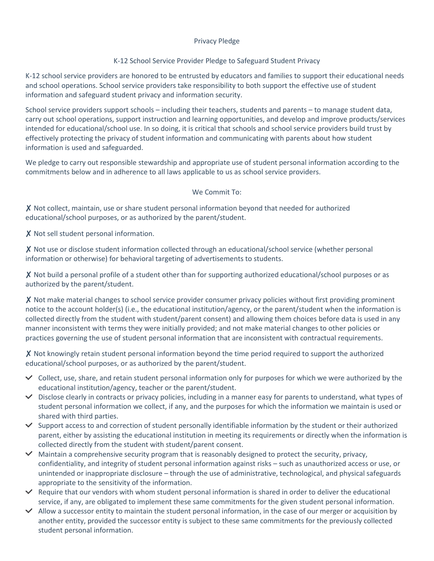# Privacy Pledge

# K-12 School Service Provider Pledge to Safeguard Student Privacy

K-12 school service providers are honored to be entrusted by educators and families to support their educational needs and school operations. School service providers take responsibility to both support the effective use of student information and safeguard student privacy and information security.

School service providers support schools – including their teachers, students and parents – to manage student data, carry out school operations, support instruction and learning opportunities, and develop and improve products/services intended for educational/school use. In so doing, it is critical that schools and school service providers build trust by effectively protecting the privacy of student information and communicating with parents about how student information is used and safeguarded.

We pledge to carry out responsible stewardship and appropriate use of student personal information according to the commitments below and in adherence to all laws applicable to us as school service providers.

# We Commit To:

✘ Not collect, maintain, use or share student personal information beyond that needed for authorized educational/school purposes, or as authorized by the parent/student.

✘ Not sell student personal information.

✘ Not use or disclose student information collected through an educational/school service (whether personal information or otherwise) for behavioral targeting of advertisements to students.

✘ Not build a personal profile of a student other than for supporting authorized educational/school purposes or as authorized by the parent/student.

✘ Not make material changes to school service provider consumer privacy policies without first providing prominent notice to the account holder(s) (i.e., the educational institution/agency, or the parent/student when the information is collected directly from the student with student/parent consent) and allowing them choices before data is used in any manner inconsistent with terms they were initially provided; and not make material changes to other policies or practices governing the use of student personal information that are inconsistent with contractual requirements.

✘ Not knowingly retain student personal information beyond the time period required to support the authorized educational/school purposes, or as authorized by the parent/student.

- $\vee$  Collect, use, share, and retain student personal information only for purposes for which we were authorized by the educational institution/agency, teacher or the parent/student.
- $\vee$  Disclose clearly in contracts or privacy policies, including in a manner easy for parents to understand, what types of student personal information we collect, if any, and the purposes for which the information we maintain is used or shared with third parties.
- $\vee$  Support access to and correction of student personally identifiable information by the student or their authorized parent, either by assisting the educational institution in meeting its requirements or directly when the information is collected directly from the student with student/parent consent.
- $\vee$  Maintain a comprehensive security program that is reasonably designed to protect the security, privacy, confidentiality, and integrity of student personal information against risks – such as unauthorized access or use, or unintended or inappropriate disclosure – through the use of administrative, technological, and physical safeguards appropriate to the sensitivity of the information.
- $\vee$  Require that our vendors with whom student personal information is shared in order to deliver the educational service, if any, are obligated to implement these same commitments for the given student personal information.
- $\vee$  Allow a successor entity to maintain the student personal information, in the case of our merger or acquisition by another entity, provided the successor entity is subject to these same commitments for the previously collected student personal information.